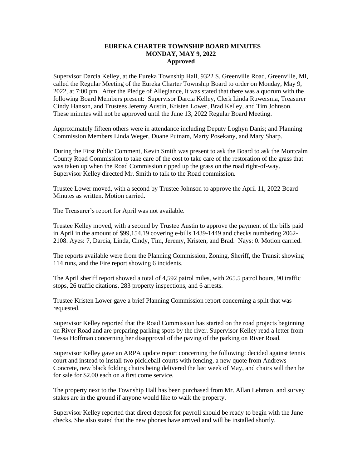## **EUREKA CHARTER TOWNSHIP BOARD MINUTES MONDAY, MAY 9, 2022 Approved**

Supervisor Darcia Kelley, at the Eureka Township Hall, 9322 S. Greenville Road, Greenville, MI, called the Regular Meeting of the Eureka Charter Township Board to order on Monday, May 9, 2022, at 7:00 pm. After the Pledge of Allegiance, it was stated that there was a quorum with the following Board Members present: Supervisor Darcia Kelley, Clerk Linda Ruwersma, Treasurer Cindy Hanson, and Trustees Jeremy Austin, Kristen Lower, Brad Kelley, and Tim Johnson. These minutes will not be approved until the June 13, 2022 Regular Board Meeting.

Approximately fifteen others were in attendance including Deputy Loghyn Danis; and Planning Commission Members Linda Weger, Duane Putnam, Marty Posekany, and Mary Sharp.

During the First Public Comment, Kevin Smith was present to ask the Board to ask the Montcalm County Road Commission to take care of the cost to take care of the restoration of the grass that was taken up when the Road Commission ripped up the grass on the road right-of-way. Supervisor Kelley directed Mr. Smith to talk to the Road commission.

Trustee Lower moved, with a second by Trustee Johnson to approve the April 11, 2022 Board Minutes as written. Motion carried.

The Treasurer's report for April was not available.

Trustee Kelley moved, with a second by Trustee Austin to approve the payment of the bills paid in April in the amount of \$99,154.19 covering e-bills 1439-1449 and checks numbering 2062- 2108. Ayes: 7, Darcia, Linda, Cindy, Tim, Jeremy, Kristen, and Brad. Nays: 0. Motion carried.

The reports available were from the Planning Commission, Zoning, Sheriff, the Transit showing 114 runs, and the Fire report showing 6 incidents.

The April sheriff report showed a total of 4,592 patrol miles, with 265.5 patrol hours, 90 traffic stops, 26 traffic citations, 283 property inspections, and 6 arrests.

Trustee Kristen Lower gave a brief Planning Commission report concerning a split that was requested.

Supervisor Kelley reported that the Road Commission has started on the road projects beginning on River Road and are preparing parking spots by the river. Supervisor Kelley read a letter from Tessa Hoffman concerning her disapproval of the paving of the parking on River Road.

Supervisor Kelley gave an ARPA update report concerning the following: decided against tennis court and instead to install two pickleball courts with fencing, a new quote from Andrews Concrete, new black folding chairs being delivered the last week of May, and chairs will then be for sale for \$2.00 each on a first come service.

The property next to the Township Hall has been purchased from Mr. Allan Lehman, and survey stakes are in the ground if anyone would like to walk the property.

Supervisor Kelley reported that direct deposit for payroll should be ready to begin with the June checks. She also stated that the new phones have arrived and will be installed shortly.